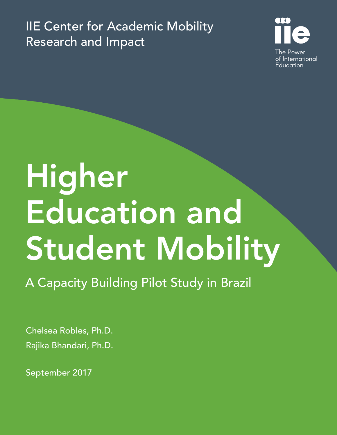IIE Center for Academic Mobility Research and Impact



# Higher Education and Student Mobility

A Capacity Building Pilot Study in Brazil

Chelsea Robles, Ph.D. Rajika Bhandari, Ph.D.

September 2017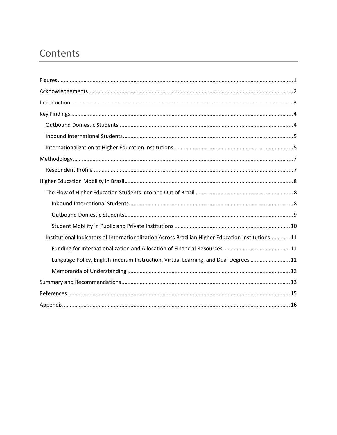# Contents

| Institutional Indicators of Internationalization Across Brazilian Higher Education Institutions 11 |
|----------------------------------------------------------------------------------------------------|
|                                                                                                    |
| Language Policy, English-medium Instruction, Virtual Learning, and Dual Degrees  11                |
|                                                                                                    |
|                                                                                                    |
|                                                                                                    |
|                                                                                                    |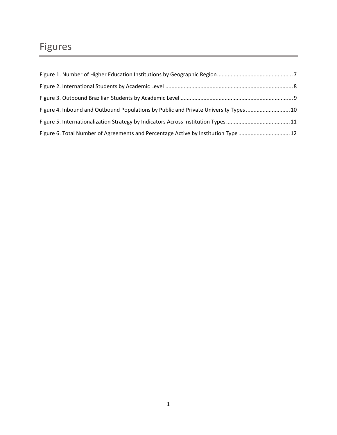# Figures

| Figure 4. Inbound and Outbound Populations by Public and Private University Types 10 |  |
|--------------------------------------------------------------------------------------|--|
|                                                                                      |  |
| Figure 6. Total Number of Agreements and Percentage Active by Institution Type 12    |  |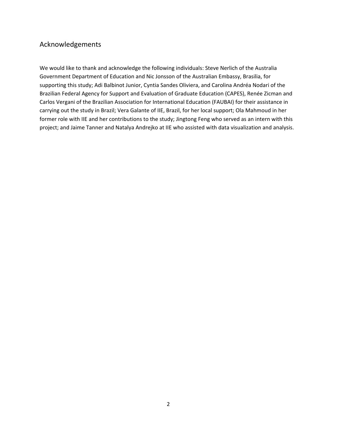## Acknowledgements

We would like to thank and acknowledge the following individuals: Steve Nerlich of the Australia Government Department of Education and Nic Jonsson of the Australian Embassy, Brasilia, for supporting this study; Adi Balbinot Junior, Cyntia Sandes Oliviera, and Carolina Andréa Nodari of the Brazilian Federal Agency for Support and Evaluation of Graduate Education (CAPES), Renée Zicman and Carlos Vergani of the Brazilian Association for International Education (FAUBAI) for their assistance in carrying out the study in Brazil; Vera Galante of IIE, Brazil, for her local support; Ola Mahmoud in her former role with IIE and her contributions to the study; Jingtong Feng who served as an intern with this project; and Jaime Tanner and Natalya Andrejko at IIE who assisted with data visualization and analysis.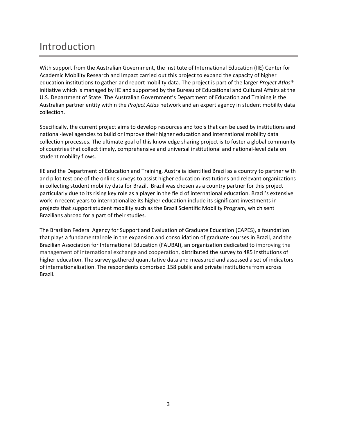# Introduction

With support from the Australian Government, the Institute of International Education (IIE) Center for Academic Mobility Research and Impact carried out this project to expand the capacity of higher education institutions to gather and report mobility data. The project is part of the larger *Project Atlas®* initiative which is managed by IIE and supported by the Bureau of Educational and Cultural Affairs at the U.S. Department of State. The Australian Government's Department of Education and Training is the Australian partner entity within the *Project Atlas* network and an expert agency in student mobility data collection.

Specifically, the current project aims to develop resources and tools that can be used by institutions and national‐level agencies to build or improve their higher education and international mobility data collection processes. The ultimate goal of this knowledge sharing project is to foster a global community of countries that collect timely, comprehensive and universal institutional and national‐level data on student mobility flows.

IIE and the Department of Education and Training, Australia identified Brazil as a country to partner with and pilot test one of the online surveys to assist higher education institutions and relevant organizations in collecting student mobility data for Brazil. Brazil was chosen as a country partner for this project particularly due to its rising key role as a player in the field of international education. Brazil's extensive work in recent years to internationalize its higher education include its significant investments in projects that support student mobility such as the Brazil Scientific Mobility Program, which sent Brazilians abroad for a part of their studies.

The Brazilian Federal Agency for Support and Evaluation of Graduate Education (CAPES), a foundation that plays a fundamental role in the expansion and consolidation of graduate courses in Brazil*,* and the Brazilian Association for International Education (FAUBAI), an organization dedicated to improving the management of international exchange and cooperation, distributed the survey to 485 institutions of higher education. The survey gathered quantitative data and measured and assessed a set of indicators of internationalization. The respondents comprised 158 public and private institutions from across Brazil.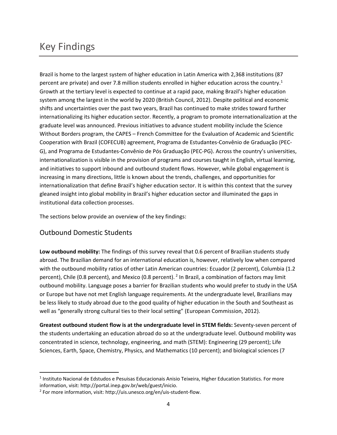# Key Findings

Brazil is home to the largest system of higher education in Latin America with 2,368 institutions (87 percent are private) and over 7.8 million students enrolled in higher education across the country.<sup>1</sup> Growth at the tertiary level is expected to continue at a rapid pace, making Brazil's higher education system among the largest in the world by 2020 (British Council, 2012). Despite political and economic shifts and uncertainties over the past two years, Brazil has continued to make strides toward further internationalizing its higher education sector. Recently, a program to promote internationalization at the graduate level was announced. Previous initiatives to advance student mobility include the Science Without Borders program, the CAPES – French Committee for the Evaluation of Academic and Scientific Cooperation with Brazil (COFECUB) agreement, Programa de Estudantes‐Convênio de Graduação (PEC‐ G), and Programa de Estudantes‐Convênio de Pós Graduação (PEC‐PG). Across the country's universities, internationalization is visible in the provision of programs and courses taught in English, virtual learning, and initiatives to support inbound and outbound student flows. However, while global engagement is increasing in many directions, little is known about the trends, challenges, and opportunities for internationalization that define Brazil's higher education sector. It is within this context that the survey gleaned insight into global mobility in Brazil's higher education sector and illuminated the gaps in institutional data collection processes.

The sections below provide an overview of the key findings:

## Outbound Domestic Students

**Low outbound mobility:** The findings of this survey reveal that 0.6 percent of Brazilian students study abroad. The Brazilian demand for an international education is, however, relatively low when compared with the outbound mobility ratios of other Latin American countries: Ecuador (2 percent), Columbia (1.2 percent), Chile (0.8 percent), and Mexico (0.8 percent). <sup>2</sup> In Brazil, a combination of factors may limit outbound mobility. Language poses a barrier for Brazilian students who would prefer to study in the USA or Europe but have not met English language requirements. At the undergraduate level, Brazilians may be less likely to study abroad due to the good quality of higher education in the South and Southeast as well as "generally strong cultural ties to their local setting" (European Commission, 2012).

**Greatest outbound student flow is at the undergraduate level in STEM fields:** Seventy‐seven percent of the students undertaking an education abroad do so at the undergraduate level. Outbound mobility was concentrated in science, technology, engineering, and math (STEM): Engineering (29 percent); Life Sciences, Earth, Space, Chemistry, Physics, and Mathematics (10 percent); and biological sciences (7

<sup>&</sup>lt;sup>1</sup> Instituto Nacional de Edstudos e Pesuisas Educacionais Anisio Teixeira, Higher Education Statistics. For more information, visit: http://portal.inep.gov.br/web/guest/inicio.

<sup>2</sup> For more information, visit: http://uis.unesco.org/en/uis‐student‐flow.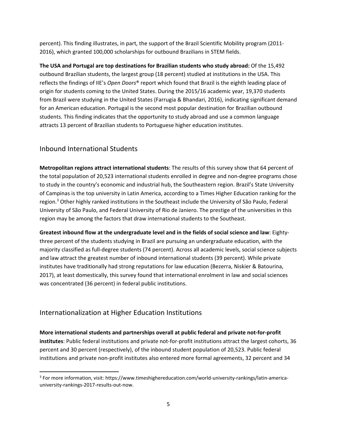percent). This finding illustrates, in part, the support of the Brazil Scientific Mobility program (2011‐ 2016), which granted 100,000 scholarships for outbound Brazilians in STEM fields.

**The USA and Portugal are top destinations for Brazilian students who study abroad:** Of the 15,492 outbound Brazilian students, the largest group (18 percent) studied at institutions in the USA. This reflects the findings of IIE's *Open Doors*® report which found that Brazil is the eighth leading place of origin for students coming to the United States. During the 2015/16 academic year, 19,370 students from Brazil were studying in the United States (Farrugia & Bhandari, 2016), indicating significant demand for an American education. Portugal is the second most popular destination for Brazilian outbound students. This finding indicates that the opportunity to study abroad and use a common language attracts 13 percent of Brazilian students to Portuguese higher education institutes.

## Inbound International Students

**Metropolitan regions attract international students**: The results of this survey show that 64 percent of the total population of 20,523 international students enrolled in degree and non‐degree programs chose to study in the country's economic and industrial hub, the Southeastern region. Brazil's State University of Campinas is the top university in Latin America, according to a Times Higher Education ranking for the region.<sup>3</sup> Other highly ranked institutions in the Southeast include the University of São Paulo, Federal University of São Paulo, and Federal University of Rio de Janiero. The prestige of the universities in this region may be among the factors that draw international students to the Southeast.

**Greatest inbound flow at the undergraduate level and in the fields of social science and law**: Eighty‐ three percent of the students studying in Brazil are pursuing an undergraduate education, with the majority classified as full‐degree students (74 percent). Across all academic levels, social science subjects and law attract the greatest number of inbound international students (39 percent). While private institutes have traditionally had strong reputations for law education (Bezerra, Niskier & Batourina, 2017), at least domestically, this survey found that international enrolment in law and social sciences was concentrated (36 percent) in federal public institutions.

## Internationalization at Higher Education Institutions

**More international students and partnerships overall at public federal and private not‐for‐profit institutes**: Public federal institutions and private not‐for‐profit institutions attract the largest cohorts, 36 percent and 30 percent (respectively), of the inbound student population of 20,523. Public federal institutions and private non‐profit institutes also entered more formal agreements, 32 percent and 34

<sup>3</sup> For more information, visit: https://www.timeshighereducation.com/world‐university‐rankings/latin‐america‐ university‐rankings‐2017‐results‐out‐now.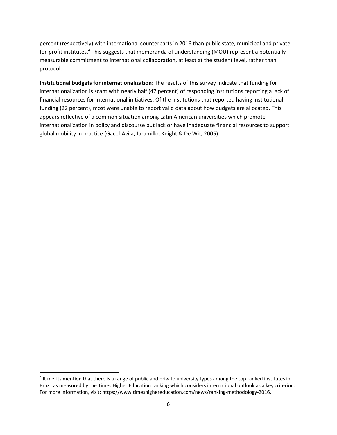percent (respectively) with international counterparts in 2016 than public state, municipal and private for-profit institutes.<sup>4</sup> This suggests that memoranda of understanding (MOU) represent a potentially measurable commitment to international collaboration, at least at the student level, rather than protocol.

**Institutional budgets for internationalization**: The results of this survey indicate that funding for internationalization is scant with nearly half (47 percent) of responding institutions reporting a lack of financial resources for international initiatives. Of the institutions that reported having institutional funding (22 percent), most were unable to report valid data about how budgets are allocated. This appears reflective of a common situation among Latin American universities which promote internationalization in policy and discourse but lack or have inadequate financial resources to support global mobility in practice (Gacel‐Ávila, Jaramillo, Knight & De Wit, 2005).

<sup>&</sup>lt;sup>4</sup> It merits mention that there is a range of public and private university types among the top ranked institutes in Brazil as measured by the Times Higher Education ranking which considers international outlook as a key criterion. For more information, visit: https://www.timeshighereducation.com/news/ranking-methodology-2016.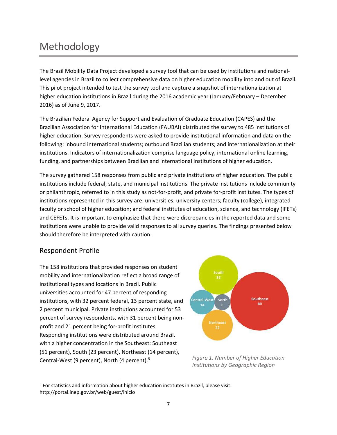# Methodology

The Brazil Mobility Data Project developed a survey tool that can be used by institutions and national‐ level agencies in Brazil to collect comprehensive data on higher education mobility into and out of Brazil. This pilot project intended to test the survey tool and capture a snapshot of internationalization at higher education institutions in Brazil during the 2016 academic year (January/February – December 2016) as of June 9, 2017.

The Brazilian Federal Agency for Support and Evaluation of Graduate Education (CAPES) and the Brazilian Association for International Education (FAUBAI) distributed the survey to 485 institutions of higher education. Survey respondents were asked to provide institutional information and data on the following: inbound international students; outbound Brazilian students; and internationalization at their institutions. Indicators of internationalization comprise language policy, international online learning, funding, and partnerships between Brazilian and international institutions of higher education.

The survey gathered 158 responses from public and private institutions of higher education. The public institutions include federal, state, and municipal institutions. The private institutions include community or philanthropic, referred to in this study as not‐for‐profit, and private for‐profit institutes. The types of institutions represented in this survey are: universities; university centers; faculty (college), integrated faculty or school of higher education; and federal institutes of education, science, and technology (IFETs) and CEFETs. It is important to emphasize that there were discrepancies in the reported data and some institutions were unable to provide valid responses to all survey queries. The findings presented below should therefore be interpreted with caution.

## Respondent Profile

The 158 institutions that provided responses on student mobility and internationalization reflect a broad range of institutional types and locations in Brazil. Public universities accounted for 47 percent of responding institutions, with 32 percent federal, 13 percent state, and 2 percent municipal. Private institutions accounted for 53 percent of survey respondents, with 31 percent being non‐ profit and 21 percent being for‐profit institutes. Responding institutions were distributed around Brazil, with a higher concentration in the Southeast: Southeast (51 percent), South (23 percent), Northeast (14 percent), Central-West (9 percent), North (4 percent).<sup>5</sup>



*Figure 1. Number of Higher Education Institutions by Geographic Region* 

<sup>&</sup>lt;sup>5</sup> For statistics and information about higher education institutes in Brazil, please visit: http://portal.inep.gov.br/web/guest/inicio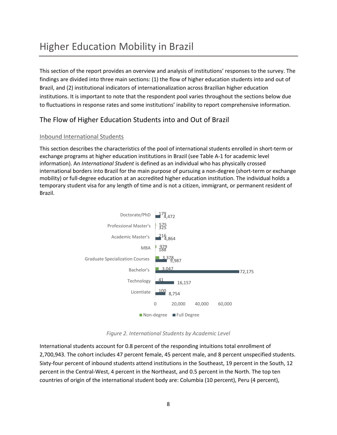# Higher Education Mobility in Brazil

This section of the report provides an overview and analysis of institutions' responses to the survey. The findings are divided into three main sections: (1) the flow of higher education students into and out of Brazil, and (2) institutional indicators of internationalization across Brazilian higher education institutions. It is important to note that the respondent pool varies throughout the sections below due to fluctuations in response rates and some institutions' inability to report comprehensive information.

## The Flow of Higher Education Students into and Out of Brazil

#### Inbound International Students

This section describes the characteristics of the pool of international students enrolled in short‐term or exchange programs at higher education institutions in Brazil (see Table A‐1 for academic level information). An *International Student* is defined as an individual who has physically crossed international borders into Brazil for the main purpose of pursuing a non‐degree (short‐term or exchange mobility) or full‐degree education at an accredited higher education institution. The individual holds a temporary student visa for any length of time and is not a citizen, immigrant, or permanent resident of Brazil.



*Figure 2. International Students by Academic Level* 

International students account for 0.8 percent of the responding intuitions total enrollment of 2,700,943. The cohort includes 47 percent female, 45 percent male, and 8 percent unspecified students. Sixty-four percent of inbound students attend institutions in the Southeast, 19 percent in the South, 12 percent in the Central‐West, 4 percent in the Northeast, and 0.5 percent in the North. The top ten countries of origin of the international student body are: Columbia (10 percent), Peru (4 percent),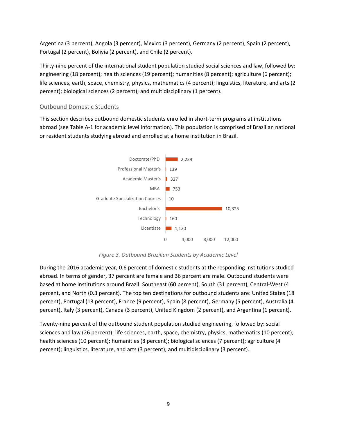Argentina (3 percent), Angola (3 percent), Mexico (3 percent), Germany (2 percent), Spain (2 percent), Portugal (2 percent), Bolivia (2 percent), and Chile (2 percent).

Thirty‐nine percent of the international student population studied social sciences and law, followed by: engineering (18 percent); health sciences (19 percent); humanities (8 percent); agriculture (6 percent); life sciences, earth, space, chemistry, physics, mathematics (4 percent); linguistics, literature, and arts (2 percent); biological sciences (2 percent); and multidisciplinary (1 percent).

#### Outbound Domestic Students

This section describes outbound domestic students enrolled in short‐term programs at institutions abroad (see Table A‐1 for academic level information). This population is comprised of Brazilian national or resident students studying abroad and enrolled at a home institution in Brazil.



*Figure 3. Outbound Brazilian Students by Academic Level* 

During the 2016 academic year, 0.6 percent of domestic students at the responding institutions studied abroad. In terms of gender, 37 percent are female and 36 percent are male. Outbound students were based at home institutions around Brazil: Southeast (60 percent), South (31 percent), Central‐West (4 percent, and North (0.3 percent). The top ten destinations for outbound students are: United States (18 percent), Portugal (13 percent), France (9 percent), Spain (8 percent), Germany (5 percent), Australia (4 percent), Italy (3 percent), Canada (3 percent), United Kingdom (2 percent), and Argentina (1 percent).

Twenty‐nine percent of the outbound student population studied engineering, followed by: social sciences and law (26 percent); life sciences, earth, space, chemistry, physics, mathematics (10 percent); health sciences (10 percent); humanities (8 percent); biological sciences (7 percent); agriculture (4 percent); linguistics, literature, and arts (3 percent); and multidisciplinary (3 percent).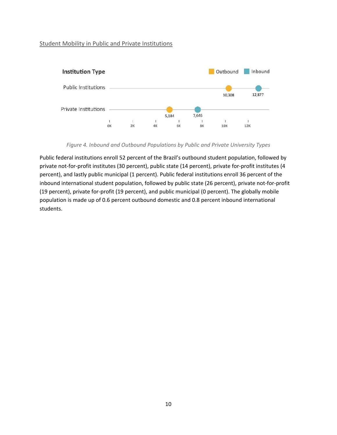#### Student Mobility in Public and Private Institutions



*Figure 4. Inbound and Outbound Populations by Public and Private University Types* 

Public federal institutions enroll 52 percent of the Brazil's outbound student population, followed by private not-for-profit institutes (30 percent), public state (14 percent), private for-profit institutes (4 percent), and lastly public municipal (1 percent). Public federal institutions enroll 36 percent of the inbound international student population, followed by public state (26 percent), private not-for-profit (19 percent), private for‐profit (19 percent), and public municipal (0 percent). The globally mobile population is made up of 0.6 percent outbound domestic and 0.8 percent inbound international students.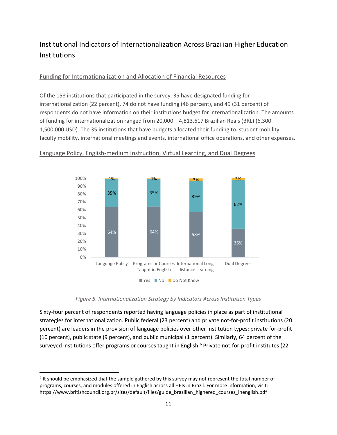## Institutional Indicators of Internationalization Across Brazilian Higher Education Institutions

#### Funding for Internationalization and Allocation of Financial Resources

Of the 158 institutions that participated in the survey, 35 have designated funding for internationalization (22 percent), 74 do not have funding (46 percent), and 49 (31 percent) of respondents do not have information on their institutions budget for internationalization. The amounts of funding for internationalization ranged from 20,000 – 4,813,617 Brazilian Reals (BRL) (6,300 – 1,500,000 USD). The 35 institutions that have budgets allocated their funding to: student mobility, faculty mobility, international meetings and events, international office operations, and other expenses.



#### Language Policy, English‐medium Instruction, Virtual Learning, and Dual Degrees

#### *Figure 5. Internationalization Strategy by Indicators Across Institution Types*

Sixty-four percent of respondents reported having language policies in place as part of institutional strategies for internationalization. Public federal (23 percent) and private not‐for‐profit institutions (20 percent) are leaders in the provision of language policies over other institution types: private for‐profit (10 percent), public state (9 percent), and public municipal (1 percent). Similarly, 64 percent of the surveyed institutions offer programs or courses taught in English.<sup>6</sup> Private not-for-profit institutes (22

<sup>&</sup>lt;sup>6</sup> It should be emphasized that the sample gathered by this survey may not represent the total number of programs, courses, and modules offered in English across all HEIs in Brazil. For more information, visit: https://www.britishcouncil.org.br/sites/default/files/guide\_brazilian\_highered\_courses\_inenglish.pdf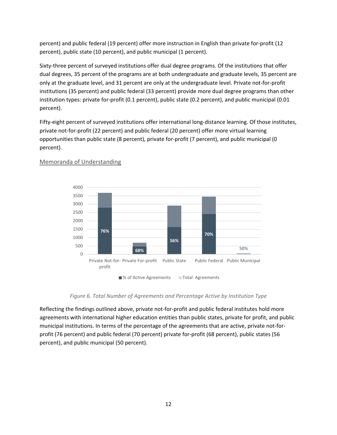percent) and public federal (19 percent) offer more instruction in English than private for‐profit (12 percent), public state (10 percent), and public municipal (1 percent).

Sixty-three percent of surveyed institutions offer dual degree programs. Of the institutions that offer dual degrees, 35 percent of the programs are at both undergraduate and graduate levels, 35 percent are only at the graduate level, and 31 percent are only at the undergraduate level. Private not‐for‐profit institutions (35 percent) and public federal (33 percent) provide more dual degree programs than other institution types: private for-profit (0.1 percent), public state (0.2 percent), and public municipal (0.01 percent).

Fifty-eight percent of surveyed institutions offer international long-distance learning. Of those institutes, private not‐for‐profit (22 percent) and public federal (20 percent) offer more virtual learning opportunities than public state (8 percent), private for‐profit (7 percent), and public municipal (0 percent).



#### Memoranda of Understanding

*Figure 6. Total Number of Agreements and Percentage Active by Institution Type* 

Reflecting the findings outlined above, private not-for-profit and public federal institutes hold more agreements with international higher education entities than public states, private for profit, and public municipal institutions. In terms of the percentage of the agreements that are active, private not-forprofit (76 percent) and public federal (70 percent) private for‐profit (68 percent), public states (56 percent), and public municipal (50 percent).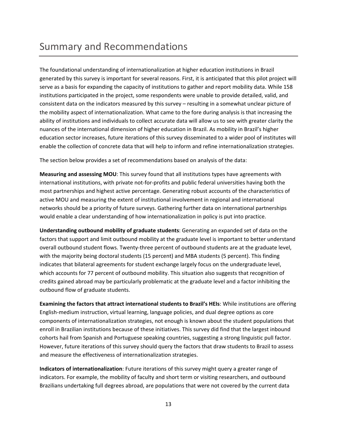## Summary and Recommendations

The foundational understanding of internationalization at higher education institutions in Brazil generated by this survey is important for several reasons. First, it is anticipated that this pilot project will serve as a basis for expanding the capacity of institutions to gather and report mobility data. While 158 institutions participated in the project, some respondents were unable to provide detailed, valid, and consistent data on the indicators measured by this survey – resulting in a somewhat unclear picture of the mobility aspect of internationalization. What came to the fore during analysis is that increasing the ability of institutions and individuals to collect accurate data will allow us to see with greater clarity the nuances of the international dimension of higher education in Brazil. As mobility in Brazil's higher education sector increases, future iterations of this survey disseminated to a wider pool of institutes will enable the collection of concrete data that will help to inform and refine internationalization strategies.

The section below provides a set of recommendations based on analysis of the data:

**Measuring and assessing MOU**: This survey found that all institutions types have agreements with international institutions, with private not-for-profits and public federal universities having both the most partnerships and highest active percentage. Generating robust accounts of the characteristics of active MOU and measuring the extent of institutional involvement in regional and international networks should be a priority of future surveys. Gathering further data on international partnerships would enable a clear understanding of how internationalization in policy is put into practice.

**Understanding outbound mobility of graduate students**: Generating an expanded set of data on the factors that support and limit outbound mobility at the graduate level is important to better understand overall outbound student flows. Twenty‐three percent of outbound students are at the graduate level, with the majority being doctoral students (15 percent) and MBA students (5 percent). This finding indicates that bilateral agreements for student exchange largely focus on the undergraduate level, which accounts for 77 percent of outbound mobility. This situation also suggests that recognition of credits gained abroad may be particularly problematic at the graduate level and a factor inhibiting the outbound flow of graduate students.

**Examining the factors that attract international students to Brazil's HEIs**: While institutions are offering English‐medium instruction, virtual learning, language policies, and dual degree options as core components of internationalization strategies, not enough is known about the student populations that enroll in Brazilian institutions because of these initiatives. This survey did find that the largest inbound cohorts hail from Spanish and Portuguese speaking countries, suggesting a strong linguistic pull factor. However, future iterations of this survey should query the factors that draw students to Brazil to assess and measure the effectiveness of internationalization strategies.

**Indicators of internationalization**: Future iterations of this survey might query a greater range of indicators. For example, the mobility of faculty and short term or visiting researchers, and outbound Brazilians undertaking full degrees abroad, are populations that were not covered by the current data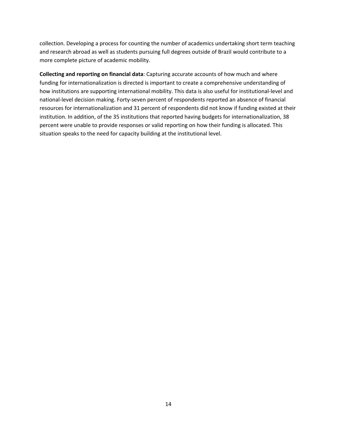collection. Developing a process for counting the number of academics undertaking short term teaching and research abroad as well as students pursuing full degrees outside of Brazil would contribute to a more complete picture of academic mobility.

**Collecting and reporting on financial data**: Capturing accurate accounts of how much and where funding for internationalization is directed is important to create a comprehensive understanding of how institutions are supporting international mobility. This data is also useful for institutional-level and national‐level decision making. Forty‐seven percent of respondents reported an absence of financial resources for internationalization and 31 percent of respondents did not know if funding existed at their institution. In addition, of the 35 institutions that reported having budgets for internationalization, 38 percent were unable to provide responses or valid reporting on how their funding is allocated. This situation speaks to the need for capacity building at the institutional level.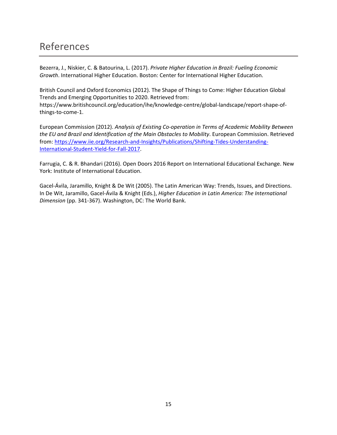## References

Bezerra, J., Niskier, C. & Batourina, L. (2017). *Private Higher Education in Brazil: Fueling Economic Growth*. International Higher Education. Boston: Center for International Higher Education.

British Council and Oxford Economics (2012). The Shape of Things to Come: Higher Education Global Trends and Emerging Opportunities to 2020. Retrieved from: https://www.britishcouncil.org/education/ihe/knowledge‐centre/global‐landscape/report‐shape‐of‐ things‐to‐come‐1.

European Commission (2012). *Analysis of Existing Co‐operation in Terms of Academic Mobility Between the EU and Brazil and Identification of the Main Obstacles to Mobility*. European Commission. Retrieved from: https://www.iie.org/Research-and-Insights/Publications/Shifting-Tides-Understanding-International‐Student‐Yield‐for‐Fall‐2017.

Farrugia, C. & R. Bhandari (2016). Open Doors 2016 Report on International Educational Exchange. New York: Institute of International Education.

Gacel‐Ávila, Jaramillo, Knight & De Wit (2005). The Latin American Way: Trends, Issues, and Directions. In De Wit, Jaramillo, Gacel‐Ávila & Knight (Eds.), *Higher Education in Latin America: The International Dimension* (pp. 341‐367). Washington, DC: The World Bank.